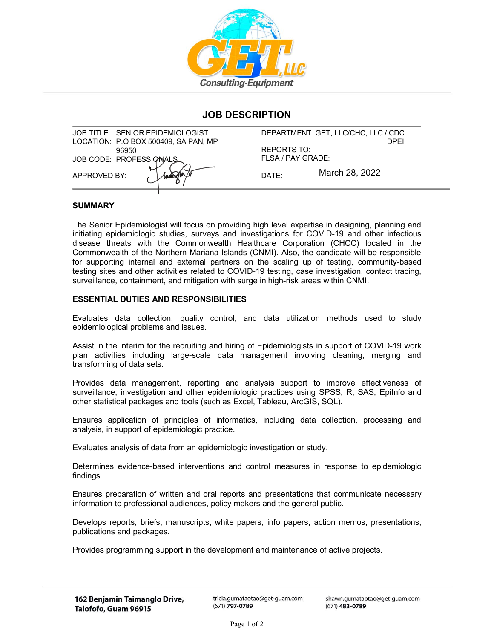

# **JOB DESCRIPTION**

| JOB TITLE: SENIOR EPIDEMIOLOGIST     |                   | DEPARTMENT: GET, LLC/CHC, LLC / CDC |
|--------------------------------------|-------------------|-------------------------------------|
| LOCATION: P.O BOX 500409, SAIPAN, MP |                   | <b>DPFI</b>                         |
| 96950                                | REPORTS TO:       |                                     |
| JOB CODE: PROFESSIONALS              | FLSA / PAY GRADE: |                                     |
| APPROVED BY:                         | DATF:             | March 28, 2022                      |
|                                      |                   |                                     |

## **SUMMARY**

The Senior Epidemiologist will focus on providing high level expertise in designing, planning and initiating epidemiologic studies, surveys and investigations for COVID-19 and other infectious disease threats with the Commonwealth Healthcare Corporation (CHCC) located in the Commonwealth of the Northern Mariana Islands (CNMI). Also, the candidate will be responsible for supporting internal and external partners on the scaling up of testing, community-based testing sites and other activities related to COVID-19 testing, case investigation, contact tracing, surveillance, containment, and mitigation with surge in high-risk areas within CNMI.

### **ESSENTIAL DUTIES AND RESPONSIBILITIES**

Evaluates data collection, quality control, and data utilization methods used to study epidemiological problems and issues.

Assist in the interim for the recruiting and hiring of Epidemiologists in support of COVID-19 work plan activities including large-scale data management involving cleaning, merging and transforming of data sets.

Provides data management, reporting and analysis support to improve effectiveness of surveillance, investigation and other epidemiologic practices using SPSS, R, SAS, EpiInfo and other statistical packages and tools (such as Excel, Tableau, ArcGIS, SQL).

Ensures application of principles of informatics, including data collection, processing and analysis, in support of epidemiologic practice.

Evaluates analysis of data from an epidemiologic investigation or study.

Determines evidence-based interventions and control measures in response to epidemiologic findings.

Ensures preparation of written and oral reports and presentations that communicate necessary information to professional audiences, policy makers and the general public.

Develops reports, briefs, manuscripts, white papers, info papers, action memos, presentations, publications and packages.

Provides programming support in the development and maintenance of active projects.